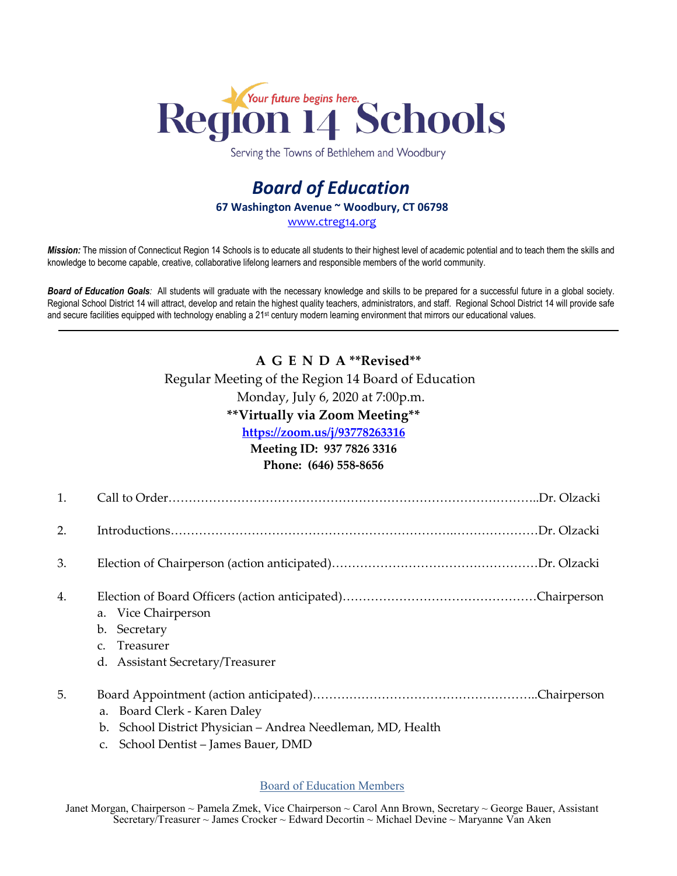

Serving the Towns of Bethlehem and Woodbury

## *Board of Education* **67 Washington Avenue ~ Woodbury, CT 06798** [www.ctreg14.org](http://www.ctreg14.org/)

*Mission:* The mission of Connecticut Region 14 Schools is to educate all students to their highest level of academic potential and to teach them the skills and knowledge to become capable, creative, collaborative lifelong learners and responsible members of the world community.

*Board of Education Goals:* All students will graduate with the necessary knowledge and skills to be prepared for a successful future in a global society. Regional School District 14 will attract, develop and retain the highest quality teachers, administrators, and staff. Regional School District 14 will provide safe and secure facilities equipped with technology enabling a 21<sup>st</sup> century modern learning environment that mirrors our educational values.

# **A G E N D A \*\*Revised\*\***

## Regular Meeting of the Region 14 Board of Education

Monday, July 6, 2020 at 7:00p.m.

## **\*\*Virtually via Zoom Meeting\*\***

**<https://zoom.us/j/93778263316>**

### **Meeting ID: 937 7826 3316**

**Phone: (646) 558-8656**

| $\mathbf{1}$ . |                                                                                                                                           |
|----------------|-------------------------------------------------------------------------------------------------------------------------------------------|
| 2.             |                                                                                                                                           |
| 3.             |                                                                                                                                           |
| 4.             | a. Vice Chairperson<br>Secretary<br>$\mathbf{b}$ .<br>Treasurer<br>$C_{\cdot}$<br>d. Assistant Secretary/Treasurer                        |
| 5.             | a. Board Clerk - Karen Daley<br>School District Physician - Andrea Needleman, MD, Health<br>b.<br>School Dentist - James Bauer, DMD<br>C. |

### Board of Education Members

Janet Morgan, Chairperson ~ Pamela Zmek, Vice Chairperson ~ Carol Ann Brown, Secretary ~ George Bauer, Assistant Secretary/Treasurer ~ James Crocker ~ Edward Decortin ~ Michael Devine ~ Maryanne Van Aken